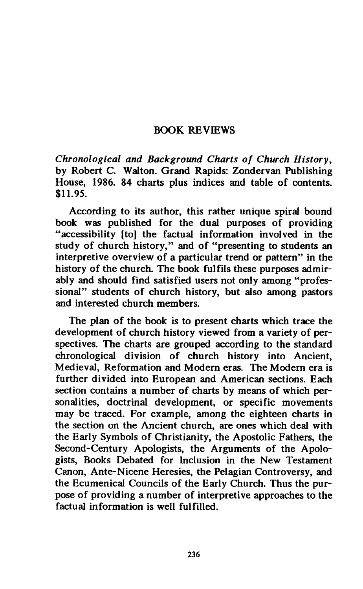## **BOOK REVIEWS**

*Chronological and Background Charts of Church History,*  **by Robert C. Walton. Grand Rapids: Zondervan Publishing House, 1986. 84 charts plus indices and table of contents. \$11.95.** 

**According to its author, this rather unique spiral bound book was published for the dual purposes of providing "accessibility [to] the factual information involved in the study of church history," and of "presenting to students an interpretive overview of a particular trend or pattern" in the history of the church. The book fulfils these purposes admirably and should find satisfied users not only among "professional" students of church history, but also among pastors and interested church members.** 

**The plan of the book is to present charts which trace the development of church history viewed from a variety of perspectives. The charts are grouped according to the standard chronological division of church history into Ancient, Medieval, Reformation and Modern eras. The Modern era is further divided into European and American sections. Each section contains a number of charts by means of which personalities, doctrinal development, or specific movements may be traced. For example, among the eighteen charts in the section on the Ancient church, are ones which deal with the Early Symbols of Christianity, the Apostolic Fathers, the Second-Century Apologists, the Arguments of the Apologists, Books Debated for Inclusion in the New Testament Canon, Ante-Nicene Heresies, the Pelagian Controversy, and the Ecumenical Councils of the Early Church. Thus the purpose of providing a number of interpretive approaches to the factual information is well fulfilled.**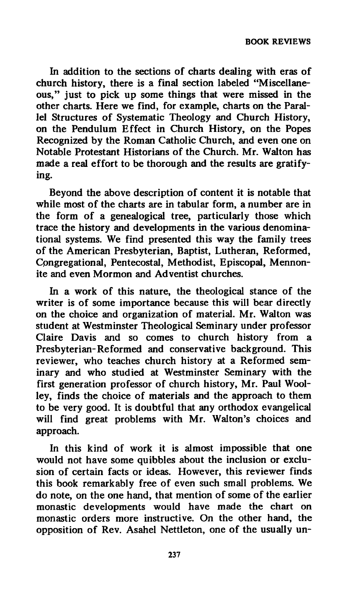**In addition to the sections of charts dealing with eras of church history, there is a final section labeled "Miscellaneous," just to pick up some things that were missed in the other charts. Here we find, for example, charts on the Parallel Structures of Systematic Theology and Church History, on the Pendulum Effect in Church History, on the Popes Recognized by the Roman Catholic Church, and even one on Notable Protestant Historians of the Church. Mr. Walton has made a real effort to be thorough and the results are gratifying.** 

**Beyond the above description of content it is notable that while most of the charts are in tabular form, a number are in the form of a genealogical tree, particularly those which trace the history and developments in the various denominational systems. We find presented this way the family trees of the American Presbyterian, Baptist, Lutheran, Reformed, Cpngregational, Pentecostal, Methodist, Episcopal, Mennonite and even Mormon and Adventist churches.** 

**In a work of this nature, the theological stance of the writer is of some importance because this will bear directly on the choice and organization of material. Mr. Walton was student at Westminster Theological Seminary under professor Claire Davis and so comes to church history from a Presbyterian-Reformed and conservative background. This reviewer, who teaches church history at a Reformed seminary and who studied at Westminster Seminary with the first generation professor of church history, Mr. Paul Woolley, finds the choice of materials and the approach to them to be very good. It is doubtful that any orthodox evangelical will find great problems with Mr. Walton's choices and approach.** 

**In this kind of work it is almost impossible that one would not have some quibbles about the inclusion or exclusion of certain facts or ideas. However, this reviewer finds this book remarkably free of even such small problems. We do note, on the one hand, that mention of some of the earlier monastic developments would have made the chart on monastic orders more instructive. On the other hand, the opposition of Rev. Asahel Nettleton, one of the usually un-**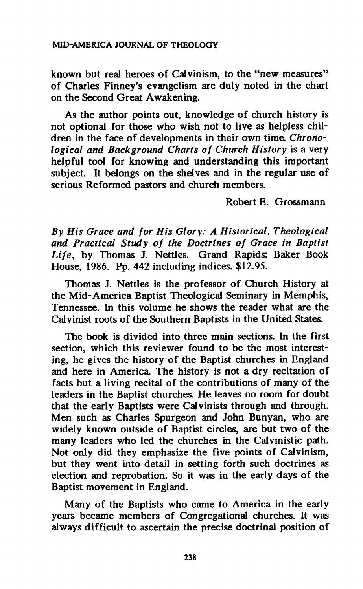## **MID-AMERICA JOURNAL OF THEOLOGY**

**known but real heroes of Calvinism, to the "new measures" of Charles Finney's evangelism are duly noted in the chart on the Second Great Awakening.** 

**As the author points out, knowledge of church history is not optional for those who wish not to live as helpless children in the face of developments in their own time.** *Chronological and Background Charts of Church History* **is a very helpful tool for knowing and understanding this important subject. It belongs on the shelves and in the regular use of serious Reformed pastors and church members.** 

**Robert E. Grossmann** 

*By His Grace and for His Glory: A Historical, Theological and Practical Study of the Doctrines of Grace in Baptist Life,* **by Thomas J. Nettles. Grand Rapids: Baker Book House, 1986. Pp. 442 including indices. \$12.95.** 

**Thomas J. Nettles is the professor of Church History at the Mid-America Baptist Theological Seminary in Memphis, Tennessee. In this volume he shows the reader what are the Calvinist roots of the Southern Baptists in the United States.** 

**The book is divided into three main sections. In the first section, which this reviewer found to be the most interesting, he gives the history of the Baptist churches in England and here in America The history is not a dry recitation of facts but a living recital of the contributions of many of the leaders in the Baptist churches. He leaves no room for doubt that the early Baptists were Calvinists through and through. Men such as Charles Spurgeon and John Bunyan, who are widely known outside of Baptist circles, are but two of the many leaders who led the churches in the Calvinistic path. Not only did they emphasize the five points of Calvinism, but they went into detail in setting forth such doctrines as election and reprobation. So it was in the early days of the Baptist movement in England.** 

**Many of the Baptists who came to America in the early years became members of Congregational churches. It was always difficult to ascertain the precise doctrinal position of**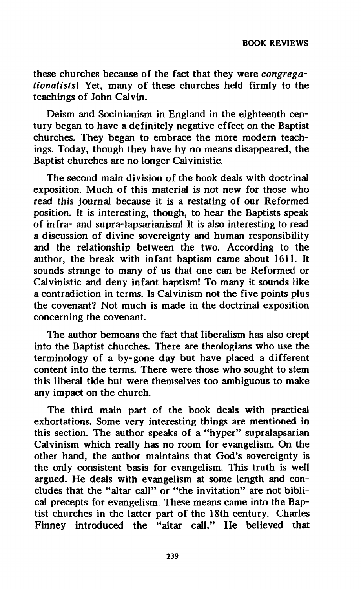**these churches because of the fact that they were** *congregationalistsl* **Yet, many of these churches held firmly to the teachings of John Calvin.** 

**Deism and Socinianism in England in the eighteenth century began to have a definitely negative effect on the Baptist churches. They began to embrace the more modern teachings. Today, though they have by no means disappeared, the Baptist churches are no longer Calvinistic.** 

**The second main division of the book deals with doctrinal exposition. Much of this material is not new for those who read this journal because it is a restating of our Reformed position. It is interesting, though, to hear the Baptists speak of infra- and supra-lapsarianism! It is also interesting to read a discussion of divine sovereignty and human responsibility and the relationship between the two. According to the author, the break with infant baptism came about 1611. It sounds strange to many of us that one can be Reformed or Calvinistic and deny infant baptism! To many it sounds like a contradiction in terms. Is Calvinism not the five points plus the covenant? Not much is made in the doctrinal exposition concerning the covenant.** 

**The author bemoans the fact that liberalism has also crept into the Baptist churches. There are theologians who use the terminology of a by-gone day but have placed a different content into the terms. There were those who sought to stem this liberal tide but were themselves too ambiguous to make any impact on the church.** 

**The third main part of the book deals with practical exhortations. Some very interesting things are mentioned in this section. The author speaks of a "hyper" supralapsarian Calvinism which really has no room for evangelism. On the other hand, the author maintains that God's sovereignty is the only consistent basis for evangelism. This truth is well argued. He deals with evangelism at some length and concludes that the "altar call" or "the invitation" are not biblical precepts for evangelism. These means came into the Baptist churches in the latter part of the 18th century. Charles Finney introduced the "altar call." He believed that**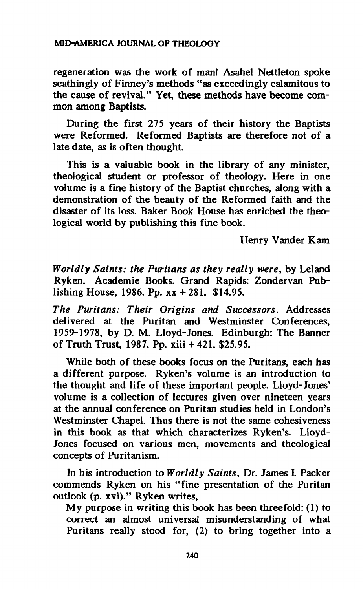**regeneration was the work of man! Asahel Nettleton spoke scathingly of Finney's methods "as exceedingly calamitous to the cause of revival." Yet, these methods have become common among Baptists.** 

**During the first 275 years of their history the Baptists were Reformed. Reformed Baptists are therefore not of a late date, as is often thought.** 

**This is a valuable book in the library of any minister, theological student or professor of theology. Here in one volume is a fine history of the Baptist churches, along with a demonstration of the beauty of the Reformed faith and the disaster of its loss. Baker Book House has enriched the theological world by publishing this fine book.** 

**Henry Vander Kam** 

*Worldly Saints: the Puritans as they really were,* **by Leland Ryken. Académie Books. Grand Rapids: Zondervan Publishing House, 1986. Pp. xx + 281. \$14.95.** 

*The Puritans: Their Origins and Successors.* **Addresses delivered at the Puritan and Westminster Conferences, 1959-1978, by D. M. Lloyd-Jones. Edinburgh: The Banner of Truth Trust, 1987. Pp. xiii + 421. \$25.95.** 

**While both of these books focus on the Puritans, each has a different purpose. Ryken's volume is an introduction to the thought and life of these important people. Lloyd-Jones' volume is a collection of lectures given over nineteen years at the annual conference on Puritan studies held in London's Westminster Chapel. Thus there is not the same cohesiveness in this book as that which characterizes Ryken's. Lloyd-Jones focused on various men, movements and theological concepts of Puritanism.** 

**In his introduction to** *Worldly Saints,* **Dr. James I. Packer commends Ryken on his "fine presentation of the Puritan outlook (p. xvi)." Ryken writes,** 

**My purpose in writing this book has been threefold: (1) to correct an almost universal misunderstanding of what Puritans really stood for, (2) to bring together into a**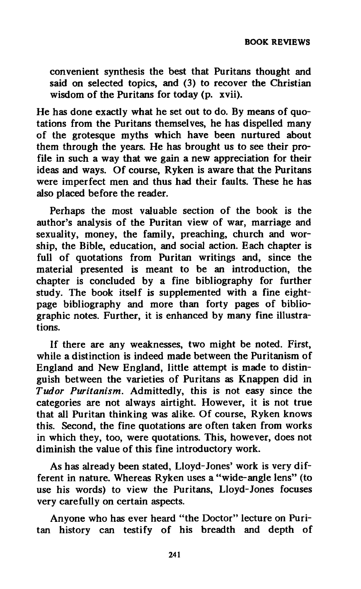**convenient synthesis the best that Puritans thought and said on selected topics, and (3) to recover the Christian wisdom of the Puritans for today (p. xvii).** 

**He has done exactly what he set out to do. By means of quotations from the Puritans themselves, he has dispelled many of the grotesque myths which have been nurtured about them through the years. He has brought us to see their profile in such a way that we gain a new appreciation for their ideas and ways. Of course, Ryken is aware that the Puritans were imperfect men and thus had their faults. These he has also placed before the reader.** 

**Perhaps the most valuable section of the book is the author's analysis of the Puritan view of war, marriage and sexuality, money, the family, preaching, church and worship, the Bible, education, and social action. Each chapter is full of quotations from Puritan writings and, since the material presented is meant to be an introduction, the chapter is concluded by a fine bibliography for further study. The book itself is supplemented with a fine eightpage bibliography and more than forty pages of bibliographic notes. Further, it is enhanced by many fine illustrations.** 

**If there are any weaknesses, two might be noted. First, while a distinction is indeed made between the Puritanism of England and New England, little attempt is made to distinguish between the varieties of Puritans as Knappen did in**  *Tudor Puritanism.* **Admittedly, this is not easy since the categories are not always airtight. However, it is not true that all Puritan thinking was alike. Of course, Ryken knows this. Second, the fine quotations are often taken from works in which they, too, were quotations. This, however, does not diminish the value of this fine introductory work.** 

**As has already been stated, Lloyd-Jones' work is very different in nature. Whereas Ryken uses a "wide-angle lens" (to use his words) to view the Puritans, Lloyd-Jones focuses very carefully on certain aspects.** 

**Anyone who has ever heard "the Doctor" lecture on Puritan history can testify of his breadth and depth of**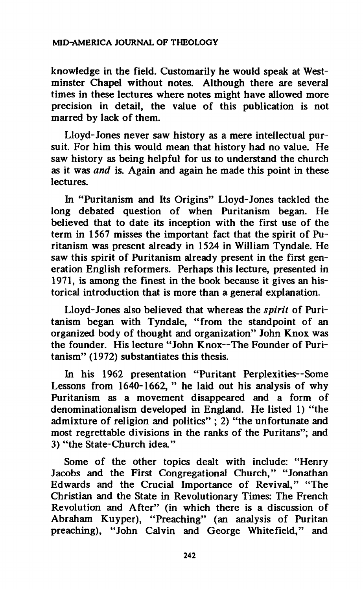**knowledge in the field. Customarily he would speak at Westminster Chapel without notes. Although there are several times in these lectures where notes might have allowed more precision in detail, the value of this publication is not marred by lack of them.** 

**Lloyd-Jones never saw history as a mere intellectual pursuit. For him this would mean that history had no value. He saw history as being helpful for us to understand the church as it was** *and* **is. Again and again he made this point in these lectures.** 

**In "Puritanism and Its Origins" Lloyd-Jones tackled the long debated question of when Puritanism began. He believed that to date its inception with the first use of the term in 1567 misses the important fact that the spirit of Puritanism was present already in 1524 in William Tyndale. He saw this spirit of Puritanism already present in the first generation English reformers. Perhaps this lecture, presented in 1971, is among the finest in the book because it gives an historical introduction that is more than a general explanation.** 

**Lloyd-Jones also believed that whereas the** *spirit* **of Puritanism began with Tyndale, "from the standpoint of an organized body of thought and organization" John Knox was the founder. His lecture "John Knox—The Founder of Puritanism" (1972) substantiates this thesis.** 

**In his 1962 presentation "Puritant Perplexities—Some Lessons from 1640-1662, " he laid out his analysis of why Puritanism as a movement disappeared and a form of denominationalism developed in England. He listed 1) "the admixture of religion and politics" ; 2) "the unfortunate and most regrettable divisions in the ranks of the Puritans"; and 3) "the State-Church idea."** 

**Some of the other topics dealt with include: "Henry Jacobs and the First Congregational Church," "Jonathan Edwards and the Crucial Importance of Revival," "The Christian and the State in Revolutionary Times: The French Revolution and After" (in which there is a discussion of Abraham Kuyper), "Preaching" (an analysis of Puritan**  preaching), "John Calvin and George Whitefield," and

**242**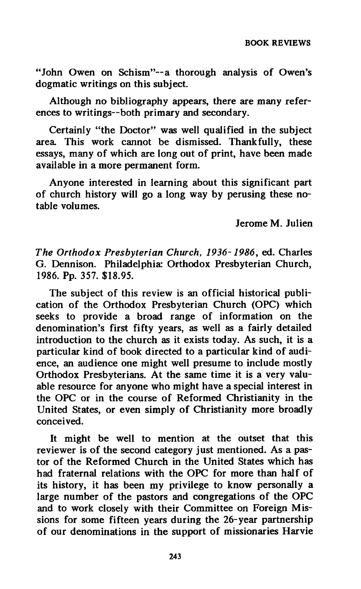**"John Owen on Schism"—a thorough analysis of Owen's dogmatic writings on this subject.** 

**Although no bibliography appears, there are many references to writings—both primary and secondary.** 

**Certainly "the Doctor" was well qualified in the subject area. This work cannot be dismissed. Thankfully, these essays, many of which are long out of print, have been made available in a more permanent form.** 

**Anyone interested in learning about this significant part of church history will go a long way by perusing these notable volumes.** 

**Jerome M. Julien** 

*The Orthodox Presbyterian Church, 1936-1986,* **ed. Charles G. Dennison. Philadelphia: Orthodox Presbyterian Church, 1986. Pp. 357. \$18.95.** 

**The subject of this review is an official historical publication of the Orthodox Presbyterian Church (OPC) which seeks to provide a broad range of information on the denomination's first fifty years, as well as a fairly detailed introduction to the church as it exists today. As such, it is a particular kind of book directed to a particular kind of audience, an audience one might well presume to include mostly Orthodox Presbyterians. At the same time it is a very valuable resource for anyone who might have a special interest in the OPC or in the course of Reformed Christianity in the United States, or even simply of Christianity more broadly conceived.** 

**It might be well to mention at the outset that this reviewer is of the second category just mentioned. As a pastor of the Reformed Church in the United States which has had fraternal relations with the OPC for more than half of its history, it has been my privilege to know personally a large number of the pastors and congregations of the OPC and to work closely with their Committee on Foreign Missions for some fifteen years during the 26-year partnership of our denominations in the support of missionaries Harvie**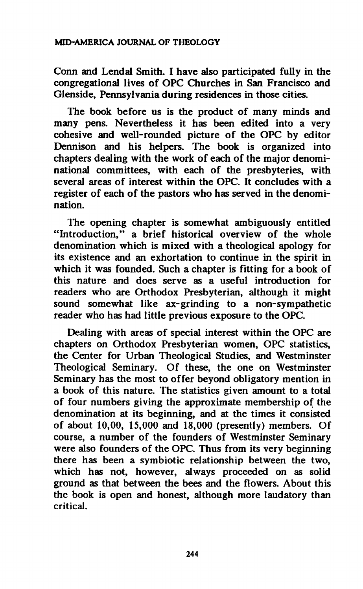**Conn and Lendal Smith. I have also participated fully in the congregational lives of OPC Churches in San Francisco and Glenside, Pennsylvania during residences in those cities.** 

**The book before us is the product of many minds and many pens. Nevertheless it has been edited into a very cohesive and well-rounded picture of the OPC by editor Dennison and his helpers. The book is organized into chapters dealing with the work of each of the major denominational committees, with each of the presbyteries, with several areas of interest within the OPC. It concludes with a register of each of the pastors who has served in the denomination.** 

**The opening chapter is somewhat ambiguously entitled "Introduction," a brief historical overview of the whole denomination which is mixed with a theological apology for its existence and an exhortation to continue in the spirit in which it was founded. Such a chapter is fitting for a book of this nature and does serve as a useful introduction for readers who are Orthodox Presbyterian, although it might sound somewhat like ax-grinding to a non-sympathetic reader who has had little previous exposure to the OPC.** 

**Dealing with areas of special interest within the OPC are chapters on Orthodox Presbyterian women, OPC statistics, the Center for Urban Theological Studies, and Westminster Theological Seminary. Of these, the one on Westminster Seminary has the most to offer beyond obligatory mention in a book of this nature. The statistics given amount to a total of four numbers giving the approximate membership of the denomination at its beginning, and at the times it consisted of about 10,00, 15,000 and 18,000 (presently) members. Of course, a number of the founders of Westminster Seminary were also founders of the OPC. Thus from its very beginning there has been a symbiotic relationship between the two, which has not, however, always proceeded on as solid ground as that between the bees and the flowers. About this the book is open and honest, although more laudatory than critical.**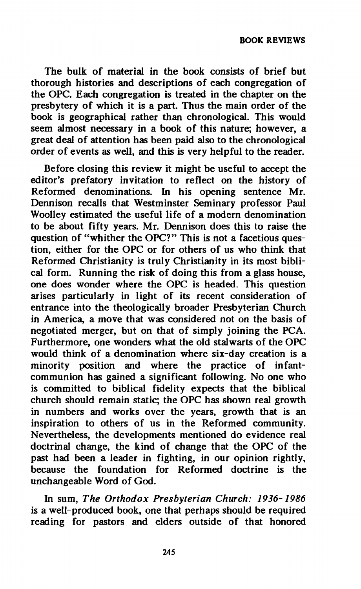**The bulk of material in the book consists of brief but thorough histories and descriptions of each congregation of the OPC. Each congregation is treated in the chapter on the presbytery of which it is a part. Thus the main order of the book is geographical rather than chronological. This would seem almost necessary in a book of this nature; however, a great deal of attention has been paid also to the chronological order of events as well, and this is very helpful to the reader.** 

**Before closing this review it might be useful to accept the editor's prefatory invitation to reflect on the history of Reformed denominations. In his opening sentence Mr. Dennison recalls that Westminster Seminary professor Paul Woolley estimated the useful life of a modern denomination to be about fifty years. Mr. Dennison does this to raise the question of "whither the OPC?" This is not a facetious question, either for the OPC or for others of us who think that Reformed Christianity is truly Christianity in its most biblical form. Running the risk of doing this from a glass house, one does wonder where the OPC is headed. This question arises particularly in light of its recent consideration of entrance into the theologically broader Presbyterian Church in America, a move that was considered not on the basis of**  negotiated merger, but on that of simply joining the PCA. **Furthermore, one wonders what the old stalwarts of the OPC would think of a denomination where six-day creation is a minority position and where the practice of infantcommunion has gained a significant following. No one who is committed to biblical fidelity expects that the biblical church should remain static; the OPC has shown real growth in numbers and works over the years, growth that is an inspiration to others of us in the Reformed community. Nevertheless, the developments mentioned do evidence real doctrinal change, the kind of change that the OPC of the past had been a leader in fighting, in our opinion rightly, because the foundation for Reformed doctrine is the unchangeable Word of God.** 

**In sum,** *The Orthodox Presbyterian Church: 1936-1986*  **is a well-produced book, one that perhaps should be required reading for pastors and elders outside of that honored**